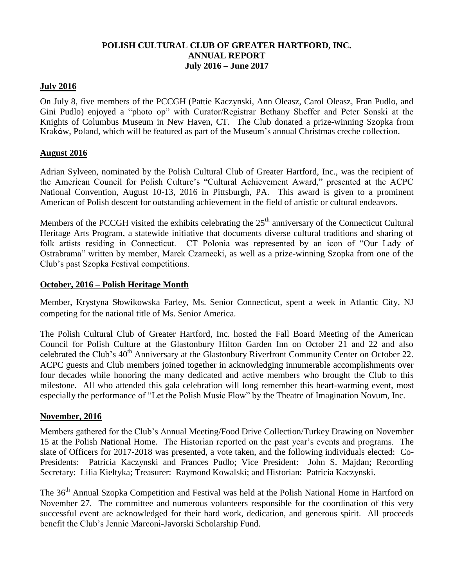# **POLISH CULTURAL CLUB OF GREATER HARTFORD, INC. ANNUAL REPORT July 2016 – June 2017**

#### **July 2016**

On July 8, five members of the PCCGH (Pattie Kaczynski, Ann Oleasz, Carol Oleasz, Fran Pudlo, and Gini Pudlo) enjoyed a "photo op" with Curator/Registrar Bethany Sheffer and Peter Sonski at the Knights of Columbus Museum in New Haven, CT. The Club donated a prize-winning Szopka from Kraków, Poland, which will be featured as part of the Museum's annual Christmas creche collection.

#### **August 2016**

Adrian Sylveen, nominated by the Polish Cultural Club of Greater Hartford, Inc., was the recipient of the American Council for Polish Culture's "Cultural Achievement Award," presented at the ACPC National Convention, August 10-13, 2016 in Pittsburgh, PA. This award is given to a prominent American of Polish descent for outstanding achievement in the field of artistic or cultural endeavors.

Members of the PCCGH visited the exhibits celebrating the  $25<sup>th</sup>$  anniversary of the Connecticut Cultural Heritage Arts Program, a statewide initiative that documents diverse cultural traditions and sharing of folk artists residing in Connecticut. CT Polonia was represented by an icon of "Our Lady of Ostrabrama" written by member, Marek Czarnecki, as well as a prize-winning Szopka from one of the Club's past Szopka Festival competitions.

### **October, 2016 – Polish Heritage Month**

Member, Krystyna Słowikowska Farley, Ms. Senior Connecticut, spent a week in Atlantic City, NJ competing for the national title of Ms. Senior America.

The Polish Cultural Club of Greater Hartford, Inc. hosted the Fall Board Meeting of the American Council for Polish Culture at the Glastonbury Hilton Garden Inn on October 21 and 22 and also celebrated the Club's 40<sup>th</sup> Anniversary at the Glastonbury Riverfront Community Center on October 22. ACPC guests and Club members joined together in acknowledging innumerable accomplishments over four decades while honoring the many dedicated and active members who brought the Club to this milestone. All who attended this gala celebration will long remember this heart-warming event, most especially the performance of "Let the Polish Music Flow" by the Theatre of Imagination Novum, Inc.

#### **November, 2016**

Members gathered for the Club's Annual Meeting/Food Drive Collection/Turkey Drawing on November 15 at the Polish National Home. The Historian reported on the past year's events and programs. The slate of Officers for 2017-2018 was presented, a vote taken, and the following individuals elected: Co-Presidents: Patricia Kaczynski and Frances Pudlo; Vice President: John S. Majdan; Recording Secretary: Lilia Kieltyka; Treasurer: Raymond Kowalski; and Historian: Patricia Kaczynski.

The 36<sup>th</sup> Annual Szopka Competition and Festival was held at the Polish National Home in Hartford on November 27. The committee and numerous volunteers responsible for the coordination of this very successful event are acknowledged for their hard work, dedication, and generous spirit. All proceeds benefit the Club's Jennie Marconi-Javorski Scholarship Fund.